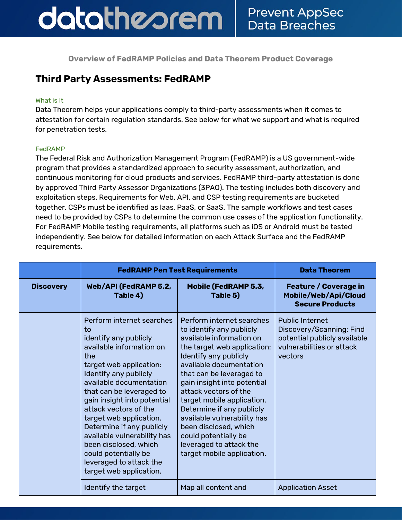**Overview of FedRAMP Policies and Data Theorem Product Coverage**

### **Third Party Assessments: FedRAMP**

#### What is It

Data Theorem helps your applications comply to third-party assessments when it comes to attestation for certain regulation standards. See below for what we support and what is required for penetration tests.

#### FedRAMP

The Federal Risk and Authorization Management Program (FedRAMP) is a US government-wide program that provides a standardized approach to security assessment, authorization, and continuous monitoring for cloud products and services. FedRAMP third-party attestation is done by approved Third Party Assessor Organizations (3PAO). The testing includes both discovery and exploitation steps. Requirements for Web, API, and CSP testing requirements are bucketed together. CSPs must be identified as Iaas, PaaS, or SaaS. The sample workflows and test cases need to be provided by CSPs to determine the common use cases of the application functionality. For FedRAMP Mobile testing requirements, all platforms such as iOS or Android must be tested independently. See below for detailed information on each Attack Surface and the FedRAMP requirements.

|                  | <b>FedRAMP Pen Test Requirements</b>                                                                                                                                                                                                                                                                                                                                                                                                                         |                                                                                                                                                                                                                                                                                                                                                                                                                                                              | <b>Data Theorem</b>                                                                                                        |
|------------------|--------------------------------------------------------------------------------------------------------------------------------------------------------------------------------------------------------------------------------------------------------------------------------------------------------------------------------------------------------------------------------------------------------------------------------------------------------------|--------------------------------------------------------------------------------------------------------------------------------------------------------------------------------------------------------------------------------------------------------------------------------------------------------------------------------------------------------------------------------------------------------------------------------------------------------------|----------------------------------------------------------------------------------------------------------------------------|
| <b>Discovery</b> | Web/API (FedRAMP 5.2,<br>Table 4)                                                                                                                                                                                                                                                                                                                                                                                                                            | Mobile (FedRAMP 5.3,<br>Table 5)                                                                                                                                                                                                                                                                                                                                                                                                                             | <b>Feature / Coverage in</b><br>Mobile/Web/Api/Cloud<br><b>Secure Products</b>                                             |
|                  | Perform internet searches<br>to<br>identify any publicly<br>available information on<br>the<br>target web application:<br>Identify any publicly<br>available documentation<br>that can be leveraged to<br>gain insight into potential<br>attack vectors of the<br>target web application.<br>Determine if any publicly<br>available vulnerability has<br>been disclosed, which<br>could potentially be<br>leveraged to attack the<br>target web application. | Perform internet searches<br>to identify any publicly<br>available information on<br>the target web application:<br>Identify any publicly<br>available documentation<br>that can be leveraged to<br>gain insight into potential<br>attack vectors of the<br>target mobile application.<br>Determine if any publicly<br>available vulnerability has<br>been disclosed, which<br>could potentially be<br>leveraged to attack the<br>target mobile application. | <b>Public Internet</b><br>Discovery/Scanning: Find<br>potential publicly available<br>vulnerabilities or attack<br>vectors |
|                  | Identify the target                                                                                                                                                                                                                                                                                                                                                                                                                                          | Map all content and                                                                                                                                                                                                                                                                                                                                                                                                                                          | <b>Application Asset</b>                                                                                                   |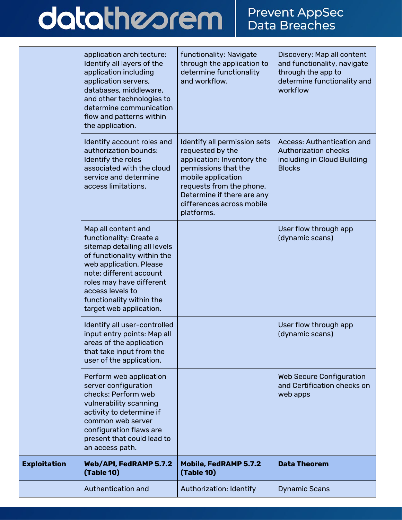# datatheorem

|                     | application architecture:<br>Identify all layers of the<br>application including<br>application servers,<br>databases, middleware,<br>and other technologies to<br>determine communication<br>flow and patterns within<br>the application.                                 | functionality: Navigate<br>through the application to<br>determine functionality<br>and workflow.                                                                                                                                 | Discovery: Map all content<br>and functionality, navigate<br>through the app to<br>determine functionality and<br>workflow |
|---------------------|----------------------------------------------------------------------------------------------------------------------------------------------------------------------------------------------------------------------------------------------------------------------------|-----------------------------------------------------------------------------------------------------------------------------------------------------------------------------------------------------------------------------------|----------------------------------------------------------------------------------------------------------------------------|
|                     | Identify account roles and<br>authorization bounds:<br>Identify the roles<br>associated with the cloud<br>service and determine<br>access limitations.                                                                                                                     | Identify all permission sets<br>requested by the<br>application: Inventory the<br>permissions that the<br>mobile application<br>requests from the phone.<br>Determine if there are any<br>differences across mobile<br>platforms. | <b>Access: Authentication and</b><br><b>Authorization checks</b><br>including in Cloud Building<br><b>Blocks</b>           |
|                     | Map all content and<br>functionality: Create a<br>sitemap detailing all levels<br>of functionality within the<br>web application. Please<br>note: different account<br>roles may have different<br>access levels to<br>functionality within the<br>target web application. |                                                                                                                                                                                                                                   | User flow through app<br>(dynamic scans)                                                                                   |
|                     | Identify all user-controlled<br>input entry points: Map all<br>areas of the application<br>that take input from the<br>user of the application.                                                                                                                            |                                                                                                                                                                                                                                   | User flow through app<br>(dynamic scans)                                                                                   |
|                     | Perform web application<br>server configuration<br>checks: Perform web<br>vulnerability scanning<br>activity to determine if<br>common web server<br>configuration flaws are<br>present that could lead to<br>an access path.                                              |                                                                                                                                                                                                                                   | <b>Web Secure Configuration</b><br>and Certification checks on<br>web apps                                                 |
| <b>Exploitation</b> | Web/API, FedRAMP 5.7.2<br>(Table 10)                                                                                                                                                                                                                                       | <b>Mobile, FedRAMP 5.7.2</b><br><b>(Table 10)</b>                                                                                                                                                                                 | <b>Data Theorem</b>                                                                                                        |
|                     | Authentication and                                                                                                                                                                                                                                                         | <b>Authorization: Identify</b>                                                                                                                                                                                                    | <b>Dynamic Scans</b>                                                                                                       |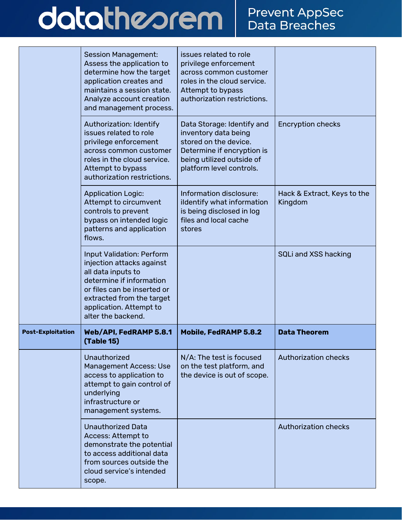## datatheorem

|                          | <b>Session Management:</b><br>Assess the application to<br>determine how the target<br>application creates and<br>maintains a session state.<br>Analyze account creation<br>and management process.                          | issues related to role<br>privilege enforcement<br>across common customer<br>roles in the cloud service.<br>Attempt to bypass<br>authorization restrictions.       |                                        |
|--------------------------|------------------------------------------------------------------------------------------------------------------------------------------------------------------------------------------------------------------------------|--------------------------------------------------------------------------------------------------------------------------------------------------------------------|----------------------------------------|
|                          | <b>Authorization: Identify</b><br>issues related to role<br>privilege enforcement<br>across common customer<br>roles in the cloud service.<br>Attempt to bypass<br>authorization restrictions.                               | Data Storage: Identify and<br>inventory data being<br>stored on the device.<br>Determine if encryption is<br>being utilized outside of<br>platform level controls. | <b>Encryption checks</b>               |
|                          | <b>Application Logic:</b><br>Attempt to circumvent<br>controls to prevent<br>bypass on intended logic<br>patterns and application<br>flows.                                                                                  | Information disclosure:<br>ildentify what information<br>is being disclosed in log<br>files and local cache<br>stores                                              | Hack & Extract, Keys to the<br>Kingdom |
|                          | <b>Input Validation: Perform</b><br>injection attacks against<br>all data inputs to<br>determine if information<br>or files can be inserted or<br>extracted from the target<br>application. Attempt to<br>alter the backend. |                                                                                                                                                                    | SQLi and XSS hacking                   |
| <b>Post-Exploitation</b> | Web/API, FedRAMP 5.8.1<br><b>(Table 15)</b>                                                                                                                                                                                  | <b>Mobile, FedRAMP 5.8.2</b>                                                                                                                                       | <b>Data Theorem</b>                    |
|                          | Unauthorized<br><b>Management Access: Use</b><br>access to application to<br>attempt to gain control of<br>underlying<br>infrastructure or<br>management systems.                                                            | N/A: The test is focused<br>on the test platform, and<br>the device is out of scope.                                                                               | <b>Authorization checks</b>            |
|                          | <b>Unauthorized Data</b><br>Access: Attempt to<br>demonstrate the potential<br>to access additional data<br>from sources outside the                                                                                         |                                                                                                                                                                    | <b>Authorization checks</b>            |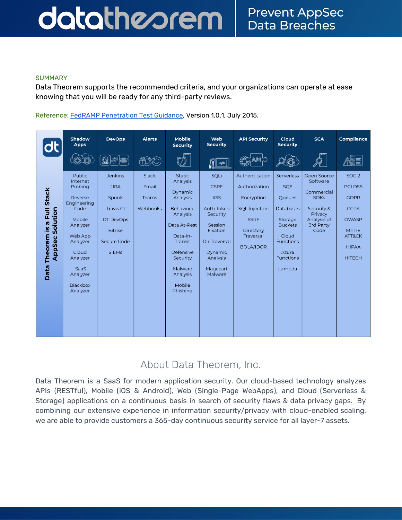#### datatheorem **Prevent AppSec Data Breaches**

Data Theorem supports the recommended criteria, and your organizations can operate at ease knowing that you will be ready for any third-party reviews.

Reference: FedRAMP [Penetration](https://s3.amazonaws.com/sitesusa/wp-content/uploads/sites/482/2016/06/FedRAMP-PenTest-Guidance-v-1-0.pdf) Test Guidance, Version 1.0.1, July 2015.



### About Data Theorem, Inc.

Data Theorem is a SaaS for modern application security. Our cloud-based technology analyzes APIs (RESTful), Mobile (iOS & Android), Web (Single-Page WebApps), and Cloud (Serverless & Storage) applications on a continuous basis in search of security flaws & data privacy gaps. By combining our extensive experience in information security/privacy with cloud-enabled scaling, we are able to provide customers a 365-day continuous security service for all layer-7 assets.